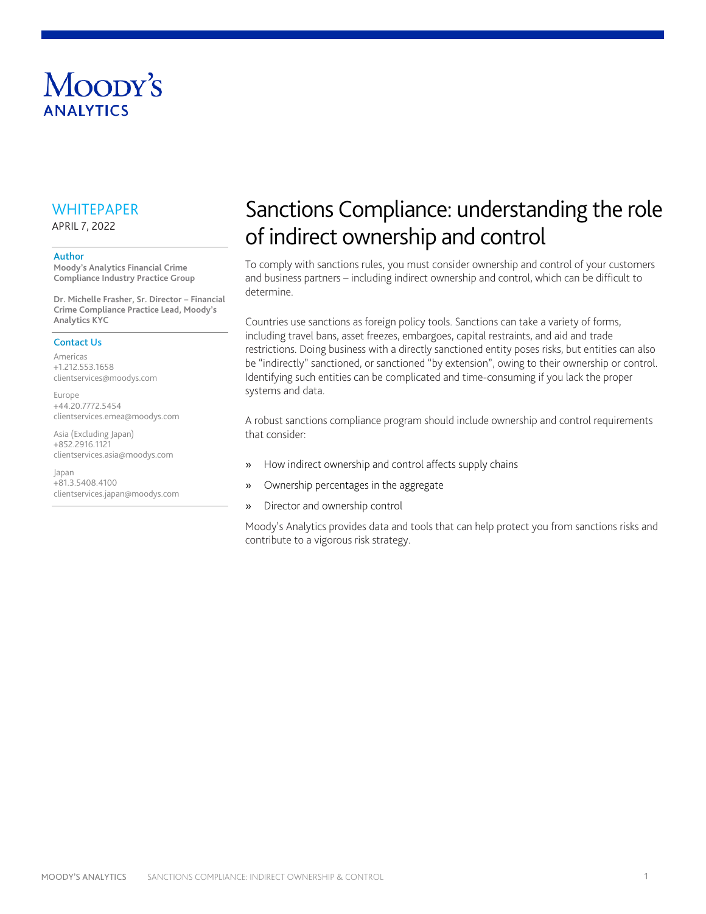# Moody's **ANAIYTICS**

## **WHITEPAPER**

APRIL 7, 2022

#### Author

**Moody's Analytics Financial Crime Compliance Industry Practice Group**

**Dr. Michelle Frasher, Sr. Director – Financial Crime Compliance Practice Lead, Moody's Analytics KYC**

#### Contact Us

Americas +1.212.553.1658 clientservices@moodys.com

Europe +44.20.7772.5454 clientservices.emea@moodys.com

Asia (Excluding Japan) +852.2916.1121 clientservices.asia@moodys.com

Japan +81.3.5408.4100 clientservices.japan@moodys.com

# Sanctions Compliance: understanding the role of indirect ownership and control

To comply with sanctions rules, you must consider ownership and control of your customers and business partners – including indirect ownership and control, which can be difficult to determine.

Countries use sanctions as foreign policy tools. Sanctions can take a variety of forms, including travel bans, asset freezes, embargoes, capital restraints, and aid and trade restrictions. Doing business with a directly sanctioned entity poses risks, but entities can also be "indirectly" sanctioned, or sanctioned "by extension", owing to their ownership or control. Identifying such entities can be complicated and time-consuming if you lack the proper systems and data.

A robust sanctions compliance program should include ownership and control requirements that consider:

- » How indirect ownership and control affects supply chains
- » Ownership percentages in the aggregate
- » Director and ownership control

Moody's Analytics provides data and tools that can help protect you from sanctions risks and contribute to a vigorous risk strategy.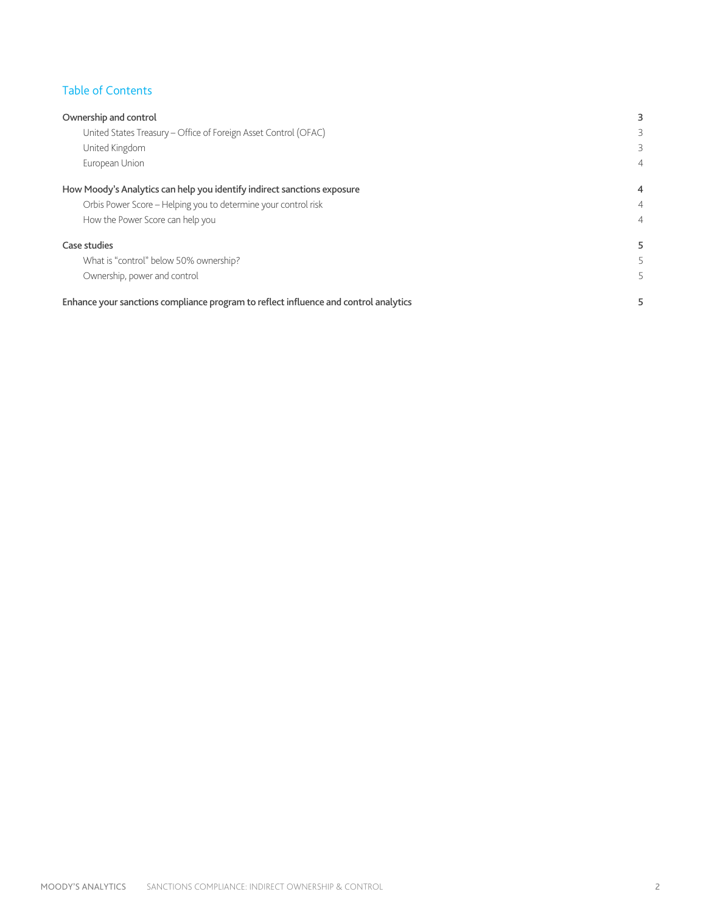## Table of Contents

| Ownership and control                                                                |                |
|--------------------------------------------------------------------------------------|----------------|
| United States Treasury - Office of Foreign Asset Control (OFAC)                      | 3              |
| United Kingdom                                                                       | 3              |
| European Union                                                                       | 4              |
| How Moody's Analytics can help you identify indirect sanctions exposure              | 4              |
| Orbis Power Score - Helping you to determine your control risk                       | 4              |
| How the Power Score can help you                                                     | $\overline{4}$ |
| Case studies                                                                         |                |
| What is "control" below 50% ownership?                                               |                |
| Ownership, power and control                                                         |                |
| Enhance your sanctions compliance program to reflect influence and control analytics |                |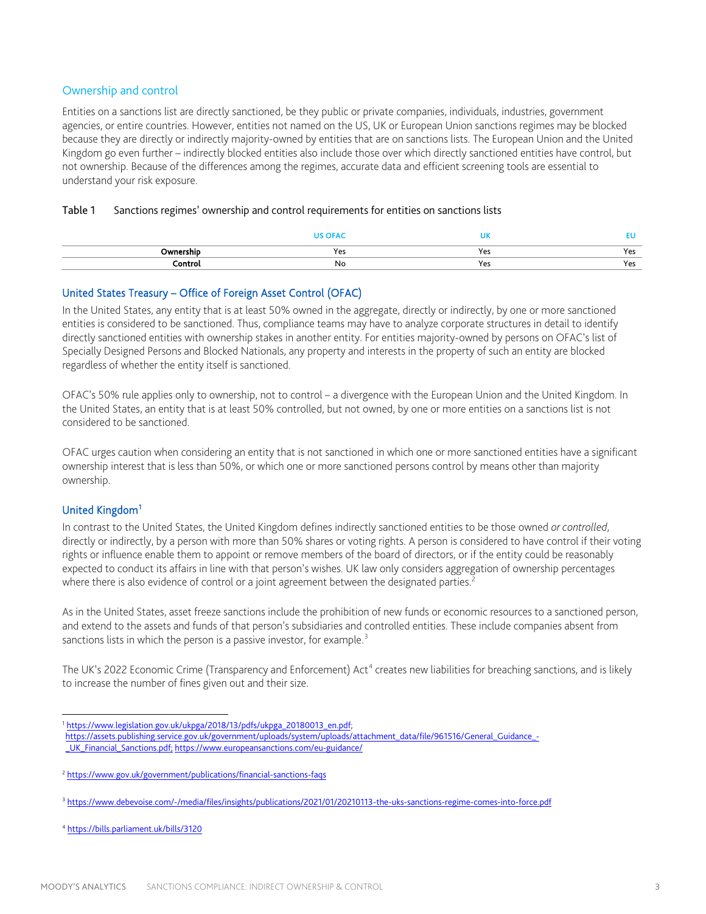### Ownership and control

Entities on a sanctions list are directly sanctioned, be they public or private companies, individuals, industries, government agencies, or entire countries. However, entities not named on the US, UK or European Union sanctions regimes may be blocked because they are directly or indirectly majority-owned by entities that are on sanctions lists. The European Union and the United Kingdom go even further – indirectly blocked entities also include those over which directly sanctioned entities have control, but not ownership. Because of the differences among the regimes, accurate data and efficient screening tools are essential to understand your risk exposure.

|  |  |  |  | Table 1 Sanctions regimes' ownership and control requirements for entities on sanctions lists |
|--|--|--|--|-----------------------------------------------------------------------------------------------|
|--|--|--|--|-----------------------------------------------------------------------------------------------|

|              |     | $\sim$ $\sim$ $\sim$<br>UN |                    |
|--------------|-----|----------------------------|--------------------|
| Ownership    | 'es | Yes                        | Y۵<br>د ب          |
| `ontrol<br>. | No  | Yes                        | 70<br>د با<br>$ -$ |

#### United States Treasury – Office of Foreign Asset Control (OFAC)

In the United States, any entity that is at least 50% owned in the aggregate, directly or indirectly, by one or more sanctioned entities is considered to be sanctioned. Thus, compliance teams may have to analyze corporate structures in detail to identify directly sanctioned entities with ownership stakes in another entity. For entities majority-owned by persons on OFAC's list of Specially Designed Persons and Blocked Nationals, any property and interests in the property of such an entity are blocked regardless of whether the entity itself is sanctioned.

OFAC's 50% rule applies only to ownership, not to control – a divergence with the European Union and the United Kingdom. In the United States, an entity that is at least 50% controlled, but not owned, by one or more entities on a sanctions list is not considered to be sanctioned.

OFAC urges caution when considering an entity that is not sanctioned in which one or more sanctioned entities have a significant ownership interest that is less than 50%, or which one or more sanctioned persons control by means other than majority ownership.

### United Kingdom<sup>[1](#page-2-0)</sup>

In contrast to the United States, the United Kingdom defines indirectly sanctioned entities to be those owned *or controlled*, directly or indirectly, by a person with more than 50% shares or voting rights. A person is considered to have control if their voting rights or influence enable them to appoint or remove members of the board of directors, or if the entity could be reasonably expected to conduct its affairs in line with that person's wishes. UK law only considers aggregation of ownership percentages where there is also evidence of control or a joint agreement between the designated parties.<sup>[2](#page-2-1)</sup>

As in the United States, asset freeze sanctions include the prohibition of new funds or economic resources to a sanctioned person, and extend to the assets and funds of that person's subsidiaries and controlled entities. These include companies absent from sanctions lists in which the person is a passive investor, for example.<sup>[3](#page-2-2)</sup>

The UK's 2022 Economic Crime (Transparency and Enforcement)  $Act<sup>4</sup>$  $Act<sup>4</sup>$  $Act<sup>4</sup>$  creates new liabilities for breaching sanctions, and is likely to increase the number of fines given out and their size.

[https://assets.publishing.service.gov.uk/government/uploads/system/uploads/attachment\\_data/file/961516/General\\_Guidance\\_-](https://assets.publishing.service.gov.uk/government/uploads/system/uploads/attachment_data/file/961516/General_Guidance_-_UK_Financial_Sanctions.pdf) UK Financial Sanctions.pdf; https://www.europeansanctions.com/eu-guidance/

<span id="page-2-3"></span><sup>4</sup> <https://bills.parliament.uk/bills/3120>

<span id="page-2-0"></span><sup>&</sup>lt;sup>1</sup> https://www.legislation.gov.uk/ukpga/2018/13/pdfs/ukpga\_20180013\_en.pdf;

<span id="page-2-1"></span><sup>&</sup>lt;sup>2</sup> https://www.gov.uk/government/publications/financial-sanctions-faqs

<span id="page-2-2"></span><sup>&</sup>lt;sup>3</sup> https://www.debevoise.com/-/media/files/insights/publications/2021/01/20210113-the-uks-sanctions-regime-comes-into-force.pdf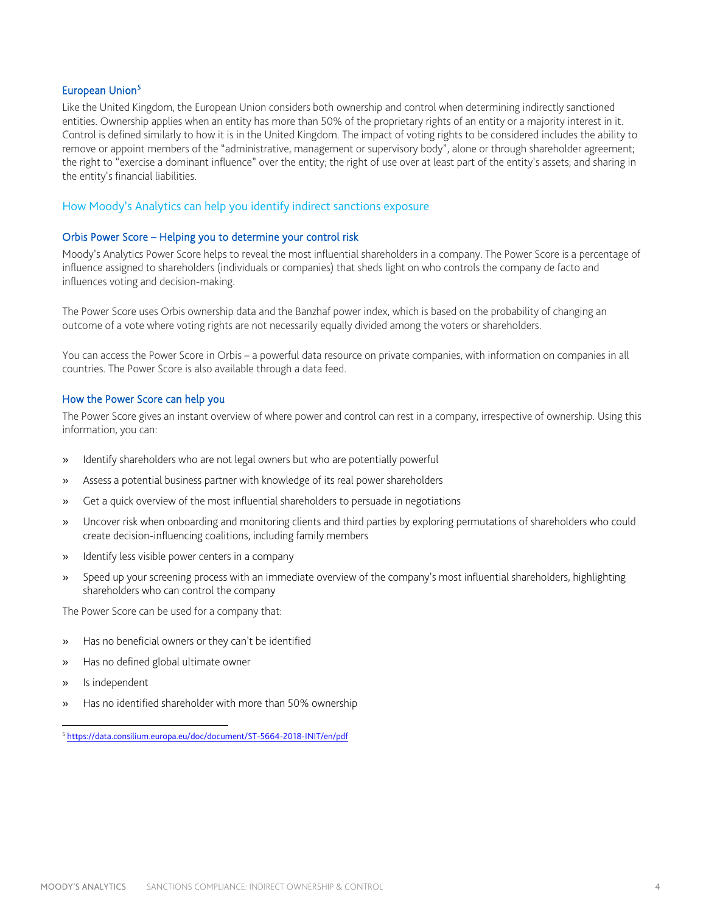#### European Union<sup>[5](#page-3-0)</sup>

Like the United Kingdom, the European Union considers both ownership and control when determining indirectly sanctioned entities. Ownership applies when an entity has more than 50% of the proprietary rights of an entity or a majority interest in it. Control is defined similarly to how it is in the United Kingdom. The impact of voting rights to be considered includes the ability to remove or appoint members of the "administrative, management or supervisory body", alone or through shareholder agreement; the right to "exercise a dominant influence" over the entity; the right of use over at least part of the entity's assets; and sharing in the entity's financial liabilities.

#### How Moody's Analytics can help you identify indirect sanctions exposure

#### Orbis Power Score – Helping you to determine your control risk

Moody's Analytics Power Score helps to reveal the most influential shareholders in a company. The Power Score is a percentage of influence assigned to shareholders (individuals or companies) that sheds light on who controls the company de facto and influences voting and decision-making.

The Power Score uses Orbis ownership data and the Banzhaf power index, which is based on the probability of changing an outcome of a vote where voting rights are not necessarily equally divided among the voters or shareholders.

You can access the Power Score in Orbis – a powerful data resource on private companies, with information on companies in all countries. The Power Score is also available through a data feed.

#### How the Power Score can help you

The Power Score gives an instant overview of where power and control can rest in a company, irrespective of ownership. Using this information, you can:

- » Identify shareholders who are not legal owners but who are potentially powerful
- » Assess a potential business partner with knowledge of its real power shareholders
- Get a quick overview of the most influential shareholders to persuade in negotiations
- » Uncover risk when onboarding and monitoring clients and third parties by exploring permutations of shareholders who could create decision-influencing coalitions, including family members
- » Identify less visible power centers in a company
- » Speed up your screening process with an immediate overview of the company's most influential shareholders, highlighting shareholders who can control the company

The Power Score can be used for a company that:

- Has no beneficial owners or they can't be identified
- » Has no defined global ultimate owner
- » Is independent
- » Has no identified shareholder with more than 50% ownership

<span id="page-3-0"></span><sup>5</sup> <https://data.consilium.europa.eu/doc/document/ST-5664-2018-INIT/en/pdf>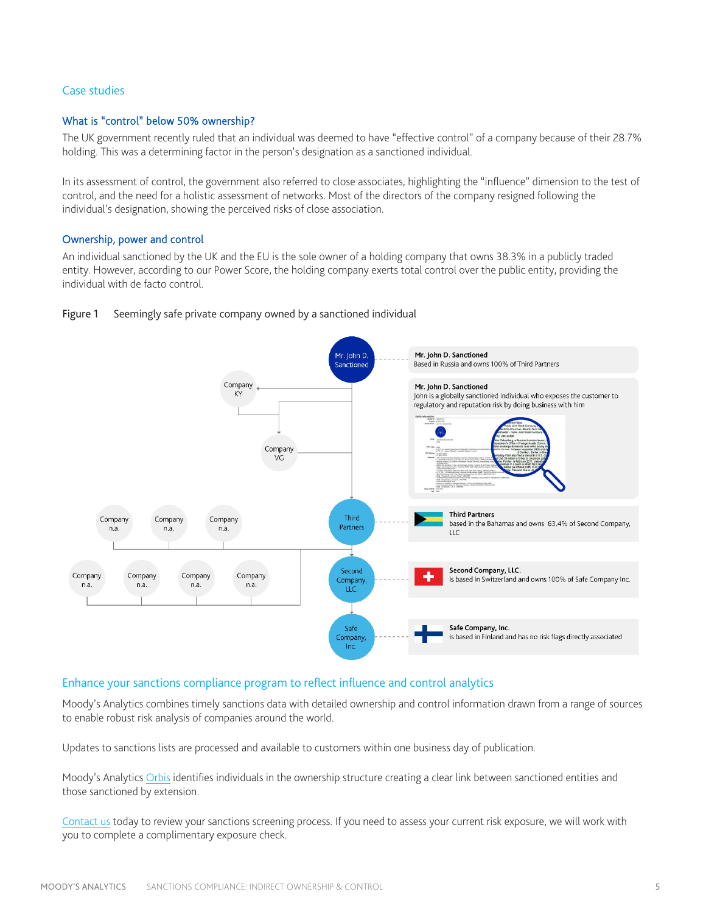#### Case studies

#### What is "control" below 50% ownership?

The UK government recently ruled that an individual was deemed to have "effective control" of a company because of their 28.7% holding. This was a determining factor in the person's designation as a sanctioned individual.

In its assessment of control, the government also referred to close associates, highlighting the "influence" dimension to the test of control, and the need for a holistic assessment of networks. Most of the directors of the company resigned following the individual's designation, showing the perceived risks of close association.

#### Ownership, power and control

An individual sanctioned by the UK and the EU is the sole owner of a holding company that owns 38.3% in a publicly traded entity. However, according to our Power Score, the holding company exerts total control over the public entity, providing the individual with de facto control.



#### Figure 1 Seemingly safe private company owned by a sanctioned individual

#### Enhance your sanctions compliance program to reflect influence and control analytics

Moody's Analytics combines timely sanctions data with detailed ownership and control information drawn from a range of sources to enable robust risk analysis of companies around the world.

Updates to sanctions lists are processed and available to customers within one business day of publication.

Moody's Analytic[s Orbis](https://kyc.moodys.io/capabilities#orbis) identifies individuals in the ownership structure creating a clear link between sanctioned entities and those sanctioned by extension.

[Contact us](https://kyc.moodys.io/#form) today to review your sanctions screening process. If you need to assess your current risk exposure, we will work with you to complete a complimentary exposure check.